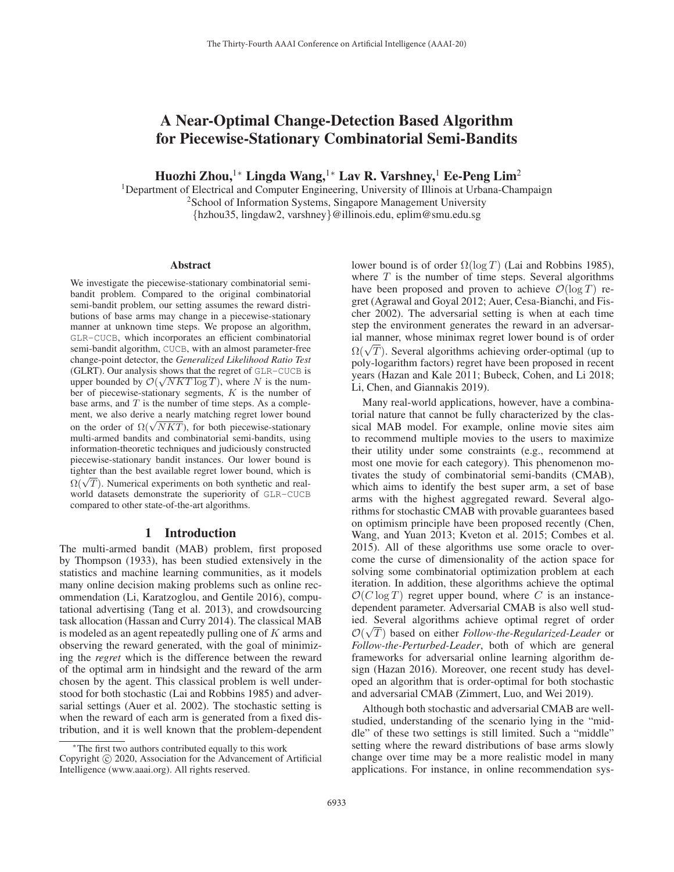# A Near-Optimal Change-Detection Based Algorithm for Piecewise-Stationary Combinatorial Semi-Bandits

Huozhi Zhou,<sup>1</sup>\* Lingda Wang,<sup>1</sup>\* Lav R. Varshney,<sup>1</sup> Ee-Peng Lim<sup>2</sup>

1Department of Electrical and Computer Engineering, University of Illinois at Urbana-Champaign

<sup>2</sup>School of Information Systems, Singapore Management University

{hzhou35, lingdaw2, varshney}@illinois.edu, eplim@smu.edu.sg

#### Abstract

We investigate the piecewise-stationary combinatorial semibandit problem. Compared to the original combinatorial semi-bandit problem, our setting assumes the reward distributions of base arms may change in a piecewise-stationary manner at unknown time steps. We propose an algorithm, GLR-CUCB, which incorporates an efficient combinatorial semi-bandit algorithm, CUCB, with an almost parameter-free change-point detector, the *Generalized Likelihood Ratio Test* (GLRT). Our analysis shows that the regret of GLR-CUCB is upper bounded by  $\mathcal{O}(\sqrt{NKT \log T})$ , where N is the number of piecewise-stationary segments,  $K$  is the number of base arms, and  $T$  is the number of time steps. As a complement, we also derive a nearly matching regret lower bound on the order of  $\Omega(\sqrt{NKT})$ , for both piecewise-stationary multi-armed bandits and combinatorial semi-bandits, using information-theoretic techniques and judiciously constructed piecewise-stationary bandit instances. Our lower bound is tighter than the best available regret lower bound, which is  $\Omega(\sqrt{T})$ . Numerical experiments on both synthetic and realworld datasets demonstrate the superiority of GLR-CUCB compared to other state-of-the-art algorithms.

#### 1 Introduction

The multi-armed bandit (MAB) problem, first proposed by Thompson (1933), has been studied extensively in the statistics and machine learning communities, as it models many online decision making problems such as online recommendation (Li, Karatzoglou, and Gentile 2016), computational advertising (Tang et al. 2013), and crowdsourcing task allocation (Hassan and Curry 2014). The classical MAB is modeled as an agent repeatedly pulling one of  $K$  arms and observing the reward generated, with the goal of minimizing the *regret* which is the difference between the reward of the optimal arm in hindsight and the reward of the arm chosen by the agent. This classical problem is well understood for both stochastic (Lai and Robbins 1985) and adversarial settings (Auer et al. 2002). The stochastic setting is when the reward of each arm is generated from a fixed distribution, and it is well known that the problem-dependent

lower bound is of order  $\Omega(\log T)$  (Lai and Robbins 1985), where  $T$  is the number of time steps. Several algorithms have been proposed and proven to achieve  $\mathcal{O}(\log T)$  regret (Agrawal and Goyal 2012; Auer, Cesa-Bianchi, and Fischer 2002). The adversarial setting is when at each time step the environment generates the reward in an adversarial manner, whose minimax regret lower bound is of order an manner, whose minimax regret lower bound is of order<br> $\Omega(\sqrt{T})$ . Several algorithms achieving order-optimal (up to<br>poly-logarithm factors) regret have been proposed in recent poly-logarithm factors) regret have been proposed in recent years (Hazan and Kale 2011; Bubeck, Cohen, and Li 2018; Li, Chen, and Giannakis 2019).

Many real-world applications, however, have a combinatorial nature that cannot be fully characterized by the classical MAB model. For example, online movie sites aim to recommend multiple movies to the users to maximize their utility under some constraints (e.g., recommend at most one movie for each category). This phenomenon motivates the study of combinatorial semi-bandits (CMAB), which aims to identify the best super arm, a set of base arms with the highest aggregated reward. Several algorithms for stochastic CMAB with provable guarantees based on optimism principle have been proposed recently (Chen, Wang, and Yuan 2013; Kveton et al. 2015; Combes et al. 2015). All of these algorithms use some oracle to overcome the curse of dimensionality of the action space for solving some combinatorial optimization problem at each iteration. In addition, these algorithms achieve the optimal  $\mathcal{O}(C \log T)$  regret upper bound, where C is an instancedependent parameter. Adversarial CMAB is also well studied. Several algorithms achieve optimal regret of order √  $\mathcal{O}(\sqrt{T})$  based on either *Follow-the-Regularized-Leader* or *Follow-the-Perturbed-Leader* both of which are general *Follow-the-Perturbed-Leader*, both of which are general frameworks for adversarial online learning algorithm design (Hazan 2016). Moreover, one recent study has developed an algorithm that is order-optimal for both stochastic and adversarial CMAB (Zimmert, Luo, and Wei 2019).

Although both stochastic and adversarial CMAB are wellstudied, understanding of the scenario lying in the "middle" of these two settings is still limited. Such a "middle" setting where the reward distributions of base arms slowly change over time may be a more realistic model in many applications. For instance, in online recommendation sys-

<sup>∗</sup>The first two authors contributed equally to this work Copyright  $\odot$  2020, Association for the Advancement of Artificial Intelligence (www.aaai.org). All rights reserved.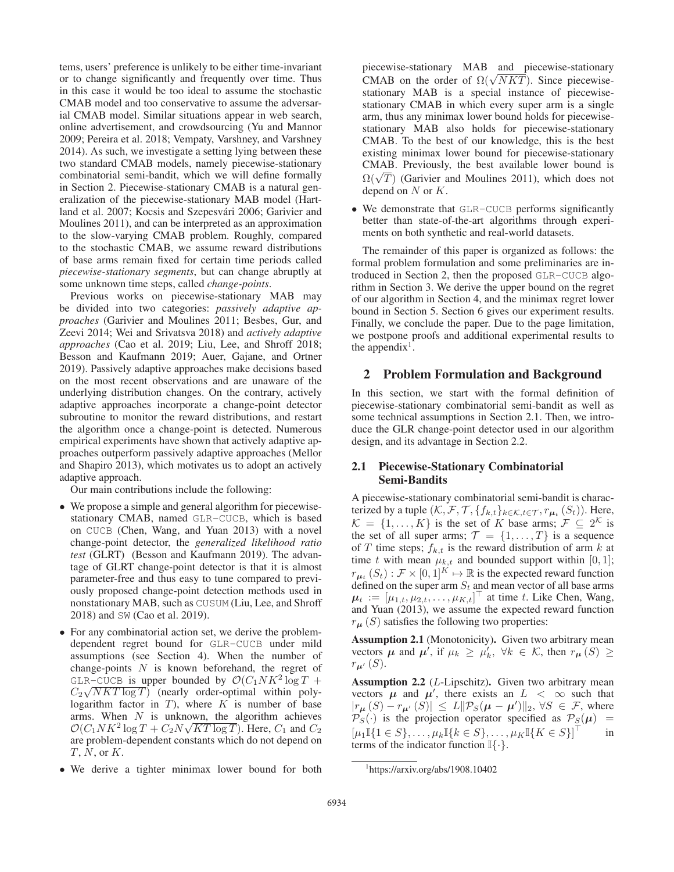tems, users' preference is unlikely to be either time-invariant or to change significantly and frequently over time. Thus in this case it would be too ideal to assume the stochastic CMAB model and too conservative to assume the adversarial CMAB model. Similar situations appear in web search, online advertisement, and crowdsourcing (Yu and Mannor 2009; Pereira et al. 2018; Vempaty, Varshney, and Varshney 2014). As such, we investigate a setting lying between these two standard CMAB models, namely piecewise-stationary combinatorial semi-bandit, which we will define formally in Section 2. Piecewise-stationary CMAB is a natural generalization of the piecewise-stationary MAB model (Hartland et al. 2007; Kocsis and Szepesvári 2006; Garivier and Moulines 2011), and can be interpreted as an approximation to the slow-varying CMAB problem. Roughly, compared to the stochastic CMAB, we assume reward distributions of base arms remain fixed for certain time periods called *piecewise-stationary segments*, but can change abruptly at some unknown time steps, called *change-points*.

Previous works on piecewise-stationary MAB may be divided into two categories: *passively adaptive approaches* (Garivier and Moulines 2011; Besbes, Gur, and Zeevi 2014; Wei and Srivatsva 2018) and *actively adaptive approaches* (Cao et al. 2019; Liu, Lee, and Shroff 2018; Besson and Kaufmann 2019; Auer, Gajane, and Ortner 2019). Passively adaptive approaches make decisions based on the most recent observations and are unaware of the underlying distribution changes. On the contrary, actively adaptive approaches incorporate a change-point detector subroutine to monitor the reward distributions, and restart the algorithm once a change-point is detected. Numerous empirical experiments have shown that actively adaptive approaches outperform passively adaptive approaches (Mellor and Shapiro 2013), which motivates us to adopt an actively adaptive approach.

Our main contributions include the following:

- We propose a simple and general algorithm for piecewisestationary CMAB, named GLR-CUCB, which is based on CUCB (Chen, Wang, and Yuan 2013) with a novel change-point detector, the *generalized likelihood ratio test* (GLRT) (Besson and Kaufmann 2019). The advantage of GLRT change-point detector is that it is almost parameter-free and thus easy to tune compared to previously proposed change-point detection methods used in nonstationary MAB, such as CUSUM (Liu, Lee, and Shroff 2018) and SW (Cao et al. 2019).
- For any combinatorial action set, we derive the problemdependent regret bound for GLR-CUCB under mild assumptions (see Section 4). When the number of change-points  $N$  is known beforehand, the regret of GLR-CUCB is upper bounded by  $\mathcal{O}(C_1 N K^2 \log T +$  $C_2\sqrt{NKT\log T}$  (nearly order-optimal within poly-<br> $C_2\sqrt{NKT\log T}$ ) (nearly order-optimal within poly-<br>logarithm factor in T) where K is number of base logarithm factor in T), where  $K$  is number of base arms. When  $N$  is unknown, the algorithm achieves  $\mathcal{O}(C_1 N K^2 \log T + C_2 N \sqrt{KT \log T})$ . Here,  $C_1$  and  $C_2$ are problem-dependent constants which do not depend on  $T, N$ , or  $K$ .
- We derive a tighter minimax lower bound for both

piecewise-stationary MAB and piecewise-stationary piecewise-stationary MAB and piecewise-stationary<br>CMAB on the order of  $\Omega(\sqrt{NKT})$ . Since piecewise-<br>stationary MAB is a special instance of piecewisestationary MAB is a special instance of piecewisestationary CMAB in which every super arm is a single arm, thus any minimax lower bound holds for piecewisestationary MAB also holds for piecewise-stationary CMAB. To the best of our knowledge, this is the best existing minimax lower bound for piecewise-stationary CMAB. Previously, the best available lower bound is CMAB. Previously, the best available lower bound is  $\Omega(\sqrt{T})$  (Garivier and Moulines 2011), which does not denend on N or K depend on  $N$  or  $K$ .

• We demonstrate that GLR-CUCB performs significantly better than state-of-the-art algorithms through experiments on both synthetic and real-world datasets.

The remainder of this paper is organized as follows: the formal problem formulation and some preliminaries are introduced in Section 2, then the proposed GLR-CUCB algorithm in Section 3. We derive the upper bound on the regret of our algorithm in Section 4, and the minimax regret lower bound in Section 5. Section 6 gives our experiment results. Finally, we conclude the paper. Due to the page limitation, we postpone proofs and additional experimental results to the appendix<sup>1</sup>.

# 2 Problem Formulation and Background

In this section, we start with the formal definition of piecewise-stationary combinatorial semi-bandit as well as some technical assumptions in Section 2.1. Then, we introduce the GLR change-point detector used in our algorithm design, and its advantage in Section 2.2.

# 2.1 Piecewise-Stationary Combinatorial Semi-Bandits

A piecewise-stationary combinatorial semi-bandit is characterized by a tuple  $(K, \mathcal{F}, \mathcal{T}, \{f_{k,t}\}_{k \in \mathcal{K}, t \in \mathcal{T}}, r_{\mu_t}(S_t))$ . Here,  $\mathcal{K} = \{1, ..., K\}$  is the set of K base arms;  $\mathcal{F} \subseteq 2^{\mathcal{K}}$  is the set of all super arms;  $\mathcal{T} = \{1, \ldots, T\}$  is a sequence of T time steps;  $f_{k,t}$  is the reward distribution of arm k at time t with mean  $\mu_{k,t}$  and bounded support within [0, 1];  $r_{\mu_t}(S_t): \mathcal{F} \times [0,1]^K \mapsto \mathbb{R}$  is the expected reward function defined on the super arm  $S_t$  and mean vector of all base arms  $\mu_t := [\mu_{1,t}, \mu_{2,t}, \dots, \mu_{K,t}]^\top$  at time t. Like Chen, Wang, and Yuan (2013), we assume the expected reward function and Yuan (2013), we assume the expected reward function  $r_{\mu}(S)$  satisfies the following two properties:

Assumption 2.1 (Monotonicity). Given two arbitrary mean vectors  $\mu$  and  $\mu'$ , if  $\mu_k \ge \mu'_k$ ,  $\forall k \in \mathcal{K}$ , then  $r_\mu(S) \ge r_{\mu}(S)$ r*μ*- (S).

**Assumption 2.2** ( $L$ -Lipschitz). Given two arbitrary mean vectors  $\mu$  and  $\mu'$ , there exists an  $L < \infty$  such that  $|r_{\mu}(S) - r_{\mu'}|$ <br> $\mathcal{P}_S(\cdot)$  is the  $(S)| \leq L \|\mathcal{P}_S(\mu - \mu')\|_2, \forall S \in \mathcal{F}$ , where<br>projection operator specified as  $\mathcal{P}_S(\mu) =$  $\mathcal{P}_S(\cdot)$  is the projection operator specified as  $\mathcal{P}_S(\mu)$  =  $[\mu_1\mathbb{I}\{1 \in S\}, \ldots, \mu_k\mathbb{I}\{k \in S\}, \ldots, \mu_K\mathbb{I}\{K \in S\}]^{\top}$  in terms of the indicator function  $\mathbb{I}\{\cdot\}.$ 

<sup>1</sup> https://arxiv.org/abs/1908.10402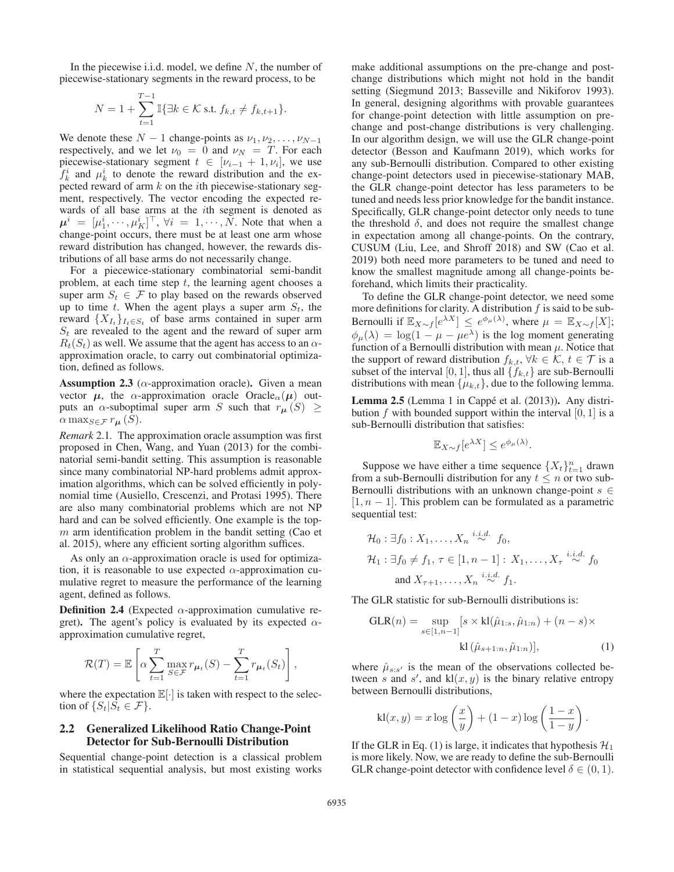In the piecewise i.i.d. model, we define  $N$ , the number of piecewise-stationary segments in the reward process, to be

$$
N = 1 + \sum_{t=1}^{T-1} \mathbb{I}\{\exists k \in \mathcal{K} \text{ s.t. } f_{k,t} \neq f_{k,t+1}\}.
$$

We denote these  $N - 1$  change-points as  $\nu_1, \nu_2, \dots, \nu_{N-1}$ respectively, and we let  $\nu_0 = 0$  and  $\nu_N = T$ . For each piecewise-stationary segment  $t \in [\nu_{i-1} + 1, \nu_i]$ , we use  $f_k^i$  and  $\mu_k^i$  to denote the reward distribution and the expected reward of arm  $k$  on the *i*th piecewise-stationary segment, respectively. The vector encoding the expected rewards of all base arms at the ith segment is denoted as  $\mu^i = [\mu^i_1, \cdots, \mu^i_K]^\top$ ,  $\forall i = 1, \cdots, N$ . Note that when a change-point occurs there must be at least one arm whose  $\mu^* = [\mu_1, \cdots, \mu_K]$ ,  $\nu = 1, \cdots, N$ . Note that when a change-point occurs, there must be at least one arm whose reward distribution has changed, however, the rewards distributions of all base arms do not necessarily change.

For a piecewice-stationary combinatorial semi-bandit problem, at each time step  $t$ , the learning agent chooses a super arm  $S_t \in \mathcal{F}$  to play based on the rewards observed up to time t. When the agent plays a super arm  $S_t$ , the reward  $\{X_{I_t}\}_{I_t \in S_t}$  of base arms contained in super arm  $S_t$  are revealed to the agent and the reward of super arm  $R_t(S_t)$  as well. We assume that the agent has access to an  $\alpha$ approximation oracle, to carry out combinatorial optimization, defined as follows.

**Assumption 2.3** ( $\alpha$ -approximation oracle). Given a mean vector  $\mu$ , the  $\alpha$ -approximation oracle Oracle<sub> $\alpha$ </sub>( $\mu$ ) outputs an  $\alpha$ -suboptimal super arm S such that  $r_{\mu}(S) \geq$  $\alpha \max_{S \in \mathcal{F}} r_{\mu}(S)$ .

*Remark* 2.1*.* The approximation oracle assumption was first proposed in Chen, Wang, and Yuan (2013) for the combinatorial semi-bandit setting. This assumption is reasonable since many combinatorial NP-hard problems admit approximation algorithms, which can be solved efficiently in polynomial time (Ausiello, Crescenzi, and Protasi 1995). There are also many combinatorial problems which are not NP hard and can be solved efficiently. One example is the top $m$  arm identification problem in the bandit setting (Cao et al. 2015), where any efficient sorting algorithm suffices.

As only an  $\alpha$ -approximation oracle is used for optimization, it is reasonable to use expected  $\alpha$ -approximation cumulative regret to measure the performance of the learning agent, defined as follows.

**Definition 2.4** (Expected  $\alpha$ -approximation cumulative regret). The agent's policy is evaluated by its expected  $\alpha$ approximation cumulative regret,

$$
\mathcal{R}(T) = \mathbb{E}\left[\alpha \sum_{t=1}^T \max_{S \in \mathcal{F}} r_{\mu_t}(S) - \sum_{t=1}^T r_{\mu_t}(S_t)\right],
$$

where the expectation  $\mathbb{E}[\cdot]$  is taken with respect to the selection of  $\{S_t | S_t \in \mathcal{F}\}.$ 

# 2.2 Generalized Likelihood Ratio Change-Point Detector for Sub-Bernoulli Distribution

Sequential change-point detection is a classical problem in statistical sequential analysis, but most existing works

make additional assumptions on the pre-change and postchange distributions which might not hold in the bandit setting (Siegmund 2013; Basseville and Nikiforov 1993). In general, designing algorithms with provable guarantees for change-point detection with little assumption on prechange and post-change distributions is very challenging. In our algorithm design, we will use the GLR change-point detector (Besson and Kaufmann 2019), which works for any sub-Bernoulli distribution. Compared to other existing change-point detectors used in piecewise-stationary MAB, the GLR change-point detector has less parameters to be tuned and needs less prior knowledge for the bandit instance. Specifically, GLR change-point detector only needs to tune the threshold  $\delta$ , and does not require the smallest change in expectation among all change-points. On the contrary, CUSUM (Liu, Lee, and Shroff 2018) and SW (Cao et al. 2019) both need more parameters to be tuned and need to know the smallest magnitude among all change-points beforehand, which limits their practicality.

To define the GLR change-point detector, we need some more definitions for clarity. A distribution  $f$  is said to be sub-Bernoulli if  $\mathbb{E}_{X \sim f}[e^{\lambda X}] \leq e^{\phi_{\mu}(\lambda)}$ , where  $\mu = \mathbb{E}_{X \sim f}[X]$ ;<br>  $\phi_{\mu}(\lambda) = \log(1 - \mu - \mu e^{\lambda})$  is the log moment generating  $\phi_{\mu}(\lambda) = \log(1 - \mu - \mu e^{\lambda})$  is the log moment generating function of a Bernoulli distribution with mean  $\mu$ . Notice that the support of reward distribution  $f_{k,t}$ ,  $\forall k \in \mathcal{K}, t \in \mathcal{T}$  is a subset of the interval [0, 1], thus all  $\{f_{k,t}\}$  are sub-Bernoulli distributions with mean  $\{\mu_{k,t}\}\$ , due to the following lemma.

**Lemma 2.5** (Lemma 1 in Cappé et al.  $(2013)$ ). Any distribution f with bounded support within the interval  $[0, 1]$  is a sub-Bernoulli distribution that satisfies:

$$
\mathbb{E}_{X \sim f}[e^{\lambda X}] \le e^{\phi_{\mu}(\lambda)}.
$$

Suppose we have either a time sequence  $\{X_t\}_{t=1}^n$  drawn<br>and sub-Bernoulli distribution for any  $t \le n$  or two subfrom a sub-Bernoulli distribution for any  $t \leq n$  or two sub-Bernoulli distributions with an unknown change-point  $s \in$  $[1, n - 1]$ . This problem can be formulated as a parametric sequential test:

$$
\mathcal{H}_0: \exists f_0: X_1, \dots, X_n \stackrel{i.i.d.}{\sim} f_0,
$$
  
\n
$$
\mathcal{H}_1: \exists f_0 \neq f_1, \tau \in [1, n-1]: X_1, \dots, X_\tau \stackrel{i.i.d.}{\sim} f_0
$$
  
\nand 
$$
X_{\tau+1}, \dots, X_n \stackrel{i.i.d.}{\sim} f_1.
$$

The GLR statistic for sub-Bernoulli distributions is:

$$
GLR(n) = \sup_{s \in [1, n-1]} [s \times kl(\hat{\mu}_{1:s}, \hat{\mu}_{1:n}) + (n-s) \times kl(\hat{\mu}_{s+1:n}, \hat{\mu}_{1:n})],
$$
 (1)

where  $\hat{\mu}_{s:s'}$  is the mean of the observations collected be-<br>tween s and s' and k[(x y) is the binary relative entrony tween s and s', and  $k(x, y)$  is the binary relative entropy<br>between Bernoulli distributions between Bernoulli distributions,

$$
kl(x, y) = x \log \left(\frac{x}{y}\right) + (1 - x) \log \left(\frac{1 - x}{1 - y}\right).
$$

If the GLR in Eq. (1) is large, it indicates that hypothesis  $\mathcal{H}_1$ is more likely. Now, we are ready to define the sub-Bernoulli GLR change-point detector with confidence level  $\delta \in (0, 1)$ .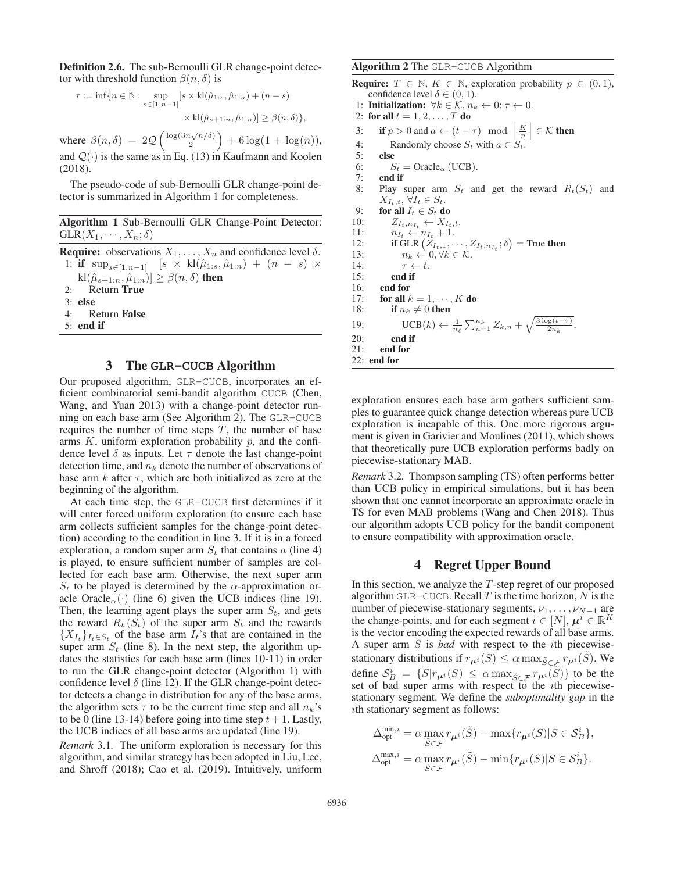Definition 2.6. The sub-Bernoulli GLR change-point detector with threshold function  $\beta(n, \delta)$  is

$$
\tau := \inf \{ n \in \mathbb{N} : \sup_{s \in [1, n-1]} [s \times kl(\hat{\mu}_{1:s}, \hat{\mu}_{1:n}) + (n-s) \times kl(\hat{\mu}_{s+1:n}, \hat{\mu}_{1:n})] \ge \beta(n, \delta) \},\
$$

where  $\beta(n,\delta) = 2Q\left(\frac{\log(3n\sqrt{n}/\delta)}{2}\right) + 6\log(1 + \log(n)),$ and  $Q(\cdot)$  is the same as in Eq. (13) in Kaufmann and Koolen (2018) (2018).

The pseudo-code of sub-Bernoulli GLR change-point detector is summarized in Algorithm 1 for completeness.

Algorithm 1 Sub-Bernoulli GLR Change-Point Detector:  $GLR(X_1, \dots, X_n; \delta)$ 

**Require:** observations  $X_1, \ldots, X_n$  and confidence level  $\delta$ . 1: if  $\sup_{s\in[1,n-1]}$   $[s \times kl(\hat{\mu}_{1:s}, \hat{\mu}_{1:n}) + (n - s) \times$  $\text{kl}(\hat{\mu}_{s+1:n}, \hat{\mu}_{1:n})] \geq \beta(n, \delta)$  then 2: Return True 3: else 4: Return False 5: end if

#### 3 The **GLR-CUCB** Algorithm

Our proposed algorithm, GLR-CUCB, incorporates an efficient combinatorial semi-bandit algorithm CUCB (Chen, Wang, and Yuan 2013) with a change-point detector running on each base arm (See Algorithm 2). The GLR-CUCB requires the number of time steps  $T$ , the number of base arms  $K$ , uniform exploration probability  $p$ , and the confidence level  $\delta$  as inputs. Let  $\tau$  denote the last change-point detection time, and  $n_k$  denote the number of observations of base arm  $k$  after  $\tau$ , which are both initialized as zero at the beginning of the algorithm.

At each time step, the GLR-CUCB first determines if it will enter forced uniform exploration (to ensure each base arm collects sufficient samples for the change-point detection) according to the condition in line 3. If it is in a forced exploration, a random super arm  $S_t$  that contains a (line 4) is played, to ensure sufficient number of samples are collected for each base arm. Otherwise, the next super arm  $S_t$  to be played is determined by the  $\alpha$ -approximation oracle Oracle<sub> $\alpha$ </sub>(·) (line 6) given the UCB indices (line 19). Then, the learning agent plays the super arm  $S_t$ , and gets the reward  $R_t(S_t)$  of the super arm  $S_t$  and the rewards  $\{X_{I_t}\}_{I_t\in S_t}$  of the base arm  $\overline{I_t}$ 's that are contained in the super arm  $S_t$  (line 8). In the next step, the algorithm updates the statistics for each base arm (lines 10-11) in order to run the GLR change-point detector (Algorithm 1) with confidence level  $\delta$  (line 12). If the GLR change-point detector detects a change in distribution for any of the base arms, the algorithm sets  $\tau$  to be the current time step and all  $n_k$ 's to be 0 (line 13-14) before going into time step  $t + 1$ . Lastly, the UCB indices of all base arms are updated (line 19).

*Remark* 3.1*.* The uniform exploration is necessary for this algorithm, and similar strategy has been adopted in Liu, Lee, and Shroff (2018); Cao et al. (2019). Intuitively, uniform

#### Algorithm 2 The GLR-CUCB Algorithm

```
Require: T \in \mathbb{N}, K \in \mathbb{N}, exploration probability p \in (0, 1),
      confidence level \delta \in (0,1).
  1: Initialization: \forall k \in \mathcal{K}, n_k \leftarrow 0; \tau \leftarrow 0.
 2: for all t = 1, 2, \ldots, T do
  3: if p > 0 and a \leftarrow (t - \tau) \mod \left\lfloor \frac{K}{p} \right\rfloor \in \mathcal{K} then
  4: Randomly choose S_t with a \in S_t.
 5: else
 6: S_t = \text{Oracle}_{\alpha} (\text{UCB}).<br>7: end if
          end if
 8: Play super arm S_t and get the reward R_t(S_t) and
           X_{I_t,t}, \forall I_t \in S_t.9: for all I_t \in S_t do<br>10: Z_{L,n} \leftarrow X_L10: Z_{I_t,n_{I_t}} \leftarrow X_{I_t,t}.<br>11: n_{I_t} \leftarrow n_{I_t} + 1.11: n_{I_t} \leftarrow n_{I_t} + 1.<br>12: if GLR (Z_{I_{t-1}}, \cdot)12: if GLR (Z_{I_t,1}, \dots, Z_{I_t,n_{I_t}}; \delta) = True then
13: n_k \leftarrow 0, \forall k \in \mathcal{K}.<br>14: \tau \leftarrow t.14: \tau \leftarrow t.<br>15: end if
               end if
16: end for
17: for all k = 1, \dots, K do<br>18: if n_k \neq 0 then
               if n_k \neq 0 then
19: \text{UCB}(k) \leftarrow \frac{1}{n_{\ell}} \sum_{n=1}^{n_k} Z_{k,n} + \sqrt{\frac{3 \log(t-\tau)}{2n_k}}.20: end if
21: end for
22: end for
```
exploration ensures each base arm gathers sufficient samples to guarantee quick change detection whereas pure UCB exploration is incapable of this. One more rigorous argument is given in Garivier and Moulines (2011), which shows that theoretically pure UCB exploration performs badly on piecewise-stationary MAB.

*Remark* 3.2*.* Thompson sampling (TS) often performs better than UCB policy in empirical simulations, but it has been shown that one cannot incorporate an approximate oracle in TS for even MAB problems (Wang and Chen 2018). Thus our algorithm adopts UCB policy for the bandit component to ensure compatibility with approximation oracle.

#### 4 Regret Upper Bound

In this section, we analyze the T-step regret of our proposed algorithm GLR-CUCB. Recall  $T$  is the time horizon,  $N$  is the number of piecewise-stationary segments,  $\nu_1, \ldots, \nu_{N-1}$  are the change-points, and for each segment  $i \in [N]$ ,  $\mu^{i} \in \mathbb{R}^{K}$ is the vector encoding the expected rewards of all base arms. A super arm S is *bad* with respect to the ith piecewisestationary distributions if  $r_{\mu^{i}}(S) \leq \alpha \max_{\tilde{S} \in \mathcal{F}} r_{\mu^{i}}(\tilde{S})$ . We define  $S_B^i = \{S | r_{\mu^i}(S) \le \alpha \max_{\tilde{S} \in \mathcal{F}} r_{\mu^i}(\tilde{S})\}$  to be the set of bad super arms with respect to the *i*th piecewiseset of bad super arms with respect to the ith piecewisestationary segment. We define the *suboptimality gap* in the ith stationary segment as follows:

$$
\Delta_{\text{opt}}^{\min,i} = \alpha \max_{\tilde{S} \in \mathcal{F}} r_{\mu^i}(\tilde{S}) - \max \{ r_{\mu^i}(S) | S \in \mathcal{S}_B^i \},
$$
  

$$
\Delta_{\text{opt}}^{\max,i} = \alpha \max_{\tilde{S} \in \mathcal{F}} r_{\mu^i}(\tilde{S}) - \min \{ r_{\mu^i}(S) | S \in \mathcal{S}_B^i \}.
$$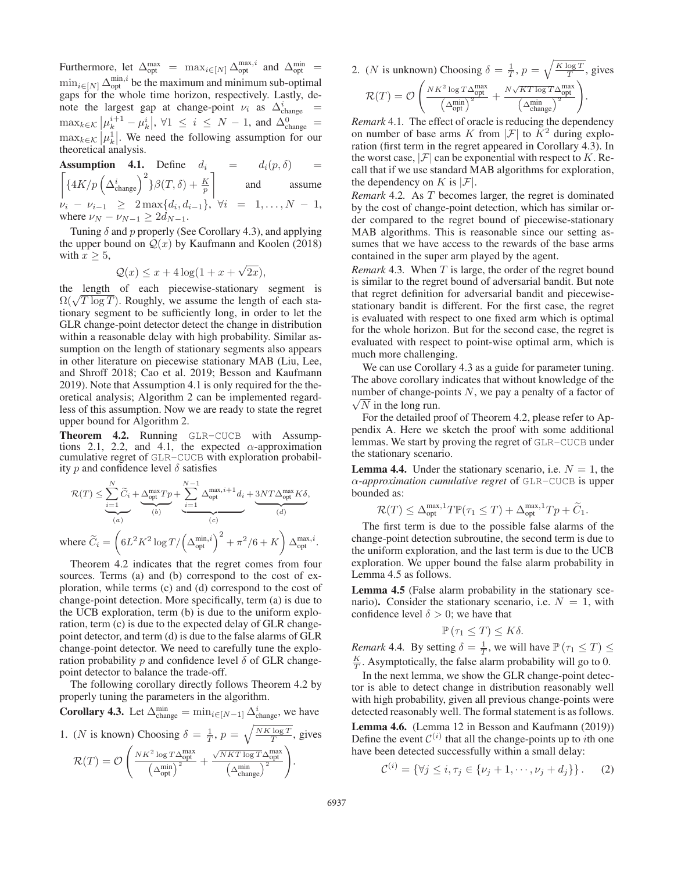Furthermore, let  $\Delta_{\text{opt}}^{\text{max}} = \max_{i \in [N]} \Delta_{\text{opt}}^{\text{max}, i}$  and  $\Delta_{\text{opt}}^{\text{min}}$ Future index  $\Delta_{opt}$  =  $\max_{i \in [N]} \Delta_{opt}$  and  $\Delta_{opt}$  =  $\min_{i \in [N]} \Delta_{opt}^{\min,i}$  be the maximum and minimum sub-optimal gaps for the whole time horizon respectively Lastly degaps for the whole time horizon, respectively. Lastly, denote the largest gap at change-point  $\nu_i$  as  $\Delta_{\text{change}}^i$  = change  $\Box$  $\max_{k \in \mathcal{K}} |\mu_k^{i+1} - \mu_k^i|, \forall 1 \leq i \leq N-1, \text{ and } \Delta_{\text{change}}^0 =$  $\max_{k \in \mathcal{K}} |\mu_k^1|$ . We need the following assumption for our theoretical analysis theoretical analysis.

**Assumption 4.1.** Define  $d_i = d_i(p, \delta) =$ <br>  $\left[ \frac{4K}{p} \left( \frac{\Delta_{\text{change}}^i}{\Delta_{\text{change}}} \right)^2 \right] \beta(T, \delta) + \frac{K}{p}$  and assume 1 and assume  $v_i - v_{i-1} \geq 2 \max\{d_i, d_{i-1}\}, \forall i = 1, ..., N-1,$ <br>where  $v_{N} - v_{N-1} > 2d_{N-1}$ where  $\nu_N - \nu_{N-1} \geq 2d_{N-1}$ .

Tuning  $\delta$  and p properly (See Corollary 4.3), and applying the upper bound on  $Q(x)$  by Kaufmann and Koolen (2018) with  $x \geq 5$ ,

$$
\mathcal{Q}(x) \le x + 4\log(1 + x + \sqrt{2x}),
$$

which  $x \le 0$ ,<br>  $Q(x) \le x + 4\log(1 + x + \sqrt{2x})$ ,<br>
the length of each piecewise-stationary segment is  $\Omega(\sqrt{T \log T})$ . Roughly, we assume the length of each stationary segment to be sufficiently long, in order to let the GLR change-point detector detect the change in distribution within a reasonable delay with high probability. Similar assumption on the length of stationary segments also appears in other literature on piecewise stationary MAB (Liu, Lee, and Shroff 2018; Cao et al. 2019; Besson and Kaufmann 2019). Note that Assumption 4.1 is only required for the theoretical analysis; Algorithm 2 can be implemented regardless of this assumption. Now we are ready to state the regret upper bound for Algorithm 2.

Theorem 4.2. Running GLR-CUCB with Assumptions 2.1, 2.2, and 4.1, the expected  $\alpha$ -approximation cumulative regret of GLR-CUCB with exploration probability p and confidence level  $\delta$  satisfies

$$
\mathcal{R}(T) \leq \underbrace{\sum_{i=1}^N \widetilde{C}_i}_{(a)} + \underbrace{\underbrace{\lambda_{\rm opt}^{\rm max} T p}_{(b)} + \underbrace{\sum_{i=1}^{N-1} \Delta_{\rm opt}^{\rm max, \it i+1} d_i}_{(c)} + \underbrace{3 N T \Delta_{\rm opt}^{\rm max} K \delta}_{(d)},
$$
 where  $\widetilde{C}_i = \left( 6 L^2 K^2 \log T / \left( \Delta_{\rm opt}^{\rm min, \it i} \right)^2 + \pi^2 / 6 + K \right) \Delta_{\rm opt}^{\rm max, \it i}.$ 

Theorem 4.2 indicates that the regret comes from four sources. Terms (a) and (b) correspond to the cost of exploration, while terms (c) and (d) correspond to the cost of change-point detection. More specifically, term (a) is due to the UCB exploration, term (b) is due to the uniform exploration, term (c) is due to the expected delay of GLR changepoint detector, and term (d) is due to the false alarms of GLR change-point detector. We need to carefully tune the exploration probability  $p$  and confidence level  $\delta$  of GLR changepoint detector to balance the trade-off.

The following corollary directly follows Theorem 4.2 by properly tuning the parameters in the algorithm.

**Corollary 4.3.** Let 
$$
\Delta_{\text{change}}^{\min} = \min_{i \in [N-1]} \Delta_{\text{change}}^i
$$
, we have

1. (*N* is known) Choosing 
$$
\delta = \frac{1}{T}
$$
,  $p = \sqrt{\frac{NK \log T}{T}}$ , gives  
\n
$$
\mathcal{R}(T) = \mathcal{O}\left(\frac{NK^2 \log T \Delta_{\text{opt}}^{\text{max}}}{\left(\Delta_{\text{opt}}^{\text{min}}\right)^2} + \frac{\sqrt{NK \log T} \Delta_{\text{opt}}^{\text{max}}}{\left(\Delta_{\text{change}}^{\text{min}}\right)^2}\right).
$$

2. (*N* is unknown) Choosing  $\delta = \frac{1}{T}$ ,  $p = \sqrt{\frac{K \log T}{T}}$ , gives

.

$$
\mathcal{R}(T) = \mathcal{O}\left(\frac{NK^2 \log T\Delta_{\text{opt}}^{\text{max}}}{\left(\Delta_{\text{opt}}^{\text{min}}\right)^2} + \frac{N\sqrt{KT \log T}\Delta_{\text{opt}}^{\text{max}}}{\left(\Delta_{\text{change}}^{\text{min}}\right)^2}\right)
$$

*Remark* 4.1*.* The effect of oracle is reducing the dependency on number of base arms K from  $|\mathcal{F}|$  to  $K^2$  during exploration (first term in the regret appeared in Corollary 4.3). In the worst case,  $|\mathcal{F}|$  can be exponential with respect to K. Recall that if we use standard MAB algorithms for exploration, the dependency on K is  $|\mathcal{F}|$ .

*Remark* 4.2*.* As T becomes larger, the regret is dominated by the cost of change-point detection, which has similar order compared to the regret bound of piecewise-stationary MAB algorithms. This is reasonable since our setting assumes that we have access to the rewards of the base arms contained in the super arm played by the agent.

*Remark* 4.3. When T is large, the order of the regret bound is similar to the regret bound of adversarial bandit. But note that regret definition for adversarial bandit and piecewisestationary bandit is different. For the first case, the regret is evaluated with respect to one fixed arm which is optimal for the whole horizon. But for the second case, the regret is evaluated with respect to point-wise optimal arm, which is much more challenging.

We can use Corollary 4.3 as a guide for parameter tuning. The above corollary indicates that without knowledge of the number of change-points  $N$ , we pay a penalty of a factor of  $\sqrt{N}$  in the long run.

For the detailed proof of Theorem 4.2, please refer to Appendix A. Here we sketch the proof with some additional lemmas. We start by proving the regret of GLR-CUCB under the stationary scenario.

**Lemma 4.4.** Under the stationary scenario, i.e.  $N = 1$ , the α*-approximation cumulative regret* of GLR-CUCB is upper bounded as:

$$
\mathcal{R}(T) \le \Delta_{\text{opt}}^{\max,1} T \mathbb{P}(\tau_1 \le T) + \Delta_{\text{opt}}^{\max,1} T p + \widetilde{C}_1.
$$
  
The first term is due to the possible false alarms of the

change-point detection subroutine, the second term is due to the uniform exploration, and the last term is due to the UCB exploration. We upper bound the false alarm probability in Lemma 4.5 as follows.

Lemma 4.5 (False alarm probability in the stationary scenario). Consider the stationary scenario, i.e.  $N = 1$ , with confidence level  $\delta > 0$ ; we have that

$$
\mathbb{P}\left(\tau_1 \leq T\right) \leq K\delta.
$$

*Remark* 4.4*.* By setting  $\delta = \frac{1}{T}$ , we will have  $\mathbb{P}(\tau_1 \leq T) \leq$ <br>*K* Agy approximately the following probability will go to 0.  $\frac{K}{T}$ . Asymptotically, the false alarm probability will go to 0.

In the next lemma, we show the GLR change-point detector is able to detect change in distribution reasonably well with high probability, given all previous change-points were detected reasonably well. The formal statement is as follows.

Lemma 4.6. (Lemma 12 in Besson and Kaufmann (2019)) Define the event  $\mathcal{C}^{(i)}$  that all the change-points up to *i*th one have been detected successfully within a small delay:

$$
\mathcal{C}^{(i)} = \{ \forall j \leq i, \tau_j \in \{\nu_j + 1, \cdots, \nu_j + d_j \} \}.
$$
 (2)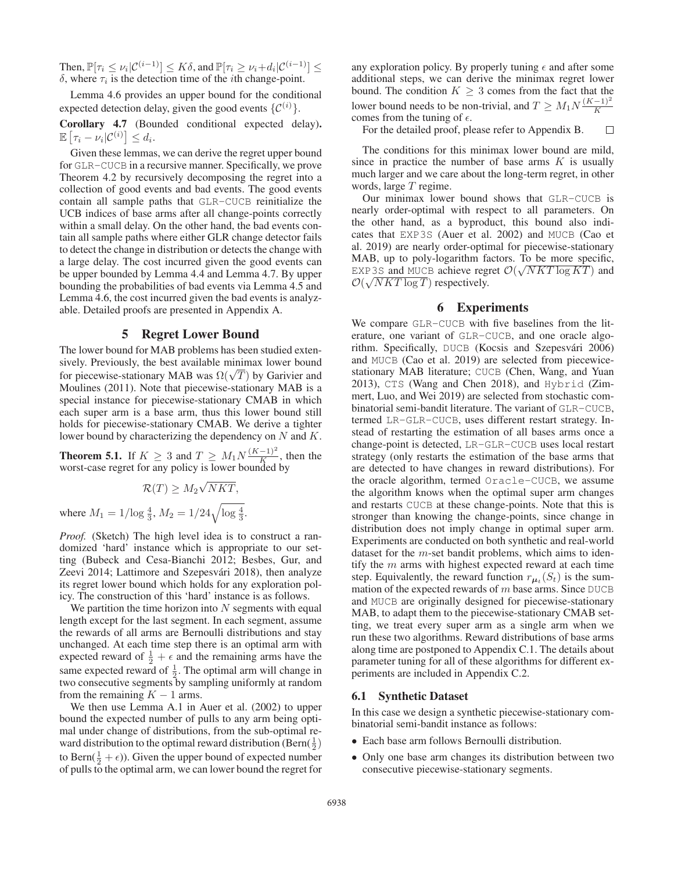Then,  $\mathbb{P}[\tau_i \leq \nu_i | \mathcal{C}^{(i-1)}] \leq K\delta$ , and  $\mathbb{P}[\tau_i \geq \nu_i + d_i | \mathcal{C}^{(i-1)}] \leq$ δ, where  $τ<sub>i</sub>$  is the detection time of the *i*th change-point.

Lemma 4.6 provides an upper bound for the conditional expected detection delay, given the good events  $\{\mathcal{C}^{(i)}\}.$ 

Corollary 4.7 (Bounded conditional expected delay).  $\mathbb{E}\left[\tau_i-\nu_i|\mathcal{C}^{(i)}\right]\leq d_i.$ 

Given these lemmas, we can derive the regret upper bound for GLR-CUCB in a recursive manner. Specifically, we prove Theorem 4.2 by recursively decomposing the regret into a collection of good events and bad events. The good events contain all sample paths that GLR-CUCB reinitialize the UCB indices of base arms after all change-points correctly within a small delay. On the other hand, the bad events contain all sample paths where either GLR change detector fails to detect the change in distribution or detects the change with a large delay. The cost incurred given the good events can be upper bounded by Lemma 4.4 and Lemma 4.7. By upper bounding the probabilities of bad events via Lemma 4.5 and Lemma 4.6, the cost incurred given the bad events is analyzable. Detailed proofs are presented in Appendix A.

### 5 Regret Lower Bound

The lower bound for MAB problems has been studied extensively. Previously, the best available minimax lower bound sively. Previously, the best available infinitionary for piecewise-stationary MAB was  $\Omega(\sqrt{T})$  by Garivier and Moulines (2011). Note that piecewise-stationary MAB is a Moulines (2011). Note that piecewise-stationary MAB is a special instance for piecewise-stationary CMAB in which each super arm is a base arm, thus this lower bound still holds for piecewise-stationary CMAB. We derive a tighter lower bound by characterizing the dependency on N and K.

**Theorem 5.1.** If  $K \geq 3$  and  $T \geq M_1 N \frac{(K-1)^2}{K}$ , then the worst-case regret for any policy is lower bounded by worst-case regret for any policy is lower bounded by

$$
\mathcal{R}(T) \geq M_2 \sqrt{NKT},
$$
 where  $M_1 = 1/\log \frac{4}{3}$ ,  $M_2 = 1/24\sqrt{\log \frac{4}{3}}$ .

*Proof.* (Sketch) The high level idea is to construct a randomized 'hard' instance which is appropriate to our setting (Bubeck and Cesa-Bianchi 2012; Besbes, Gur, and Zeevi 2014; Lattimore and Szepesvári 2018), then analyze its regret lower bound which holds for any exploration policy. The construction of this 'hard' instance is as follows.

We partition the time horizon into  $N$  segments with equal length except for the last segment. In each segment, assume the rewards of all arms are Bernoulli distributions and stay unchanged. At each time step there is an optimal arm with expected reward of  $\frac{1}{2} + \epsilon$  and the remaining arms have the same expected reward of <sup>1</sup>. The optimal arm will change in same expected reward of  $\frac{1}{2}$ . The optimal arm will change in two consecutive segments by sampling uniformly at random two consecutive segments by sampling uniformly at random from the remaining  $K - 1$  arms.

We then use Lemma A.1 in Auer et al. (2002) to upper bound the expected number of pulls to any arm being optimal under change of distributions, from the sub-optimal reward distribution to the optimal reward distribution (Bern $(\frac{1}{2})$ ) to Bern $(\frac{1}{2} + \epsilon)$ ). Given the upper bound of expected number<br>of pulls to the optimal arm, we can lower bound the regret for of pulls to the optimal arm, we can lower bound the regret for any exploration policy. By properly tuning  $\epsilon$  and after some additional steps, we can derive the minimax regret lower bound. The condition  $K \geq 3$  comes from the fact that the lower bound needs to be non-trivial, and  $T \geq M_1 N \frac{(K-1)^2}{K}$ comes from the tuning of  $\epsilon$ .

For the detailed proof, please refer to Appendix B.  $\Box$ 

The conditions for this minimax lower bound are mild, since in practice the number of base arms  $K$  is usually much larger and we care about the long-term regret, in other words, large  $T$  regime.

Our minimax lower bound shows that GLR-CUCB is nearly order-optimal with respect to all parameters. On the other hand, as a byproduct, this bound also indicates that EXP3S (Auer et al. 2002) and MUCB (Cao et al. 2019) are nearly order-optimal for piecewise-stationary MAB, up to poly-logarithm factors. To be more specific, MAB, up to poly-logarithm factors. To be more specific,<br>EXP3S and MUCB achieve regret  $\mathcal{O}(\sqrt{NKT \log KT})$  and  $\mathcal{O}(\sqrt{NKT \log T})$  respectively **EXP** 3S and MUCB achieve reg<br> $\mathcal{O}(\sqrt{NKT \log T})$  respectively.

### 6 Experiments

We compare GLR-CUCB with five baselines from the literature, one variant of GLR-CUCB, and one oracle algorithm. Specifically, DUCB (Kocsis and Szepesvári 2006) and MUCB (Cao et al. 2019) are selected from piecewicestationary MAB literature; CUCB (Chen, Wang, and Yuan 2013), CTS (Wang and Chen 2018), and Hybrid (Zimmert, Luo, and Wei 2019) are selected from stochastic combinatorial semi-bandit literature. The variant of GLR-CUCB, termed LR-GLR-CUCB, uses different restart strategy. Instead of restarting the estimation of all bases arms once a change-point is detected, LR-GLR-CUCB uses local restart strategy (only restarts the estimation of the base arms that are detected to have changes in reward distributions). For the oracle algorithm, termed Oracle-CUCB, we assume the algorithm knows when the optimal super arm changes and restarts CUCB at these change-points. Note that this is stronger than knowing the change-points, since change in distribution does not imply change in optimal super arm. Experiments are conducted on both synthetic and real-world dataset for the m-set bandit problems, which aims to identify the  $m$  arms with highest expected reward at each time step. Equivalently, the reward function  $r_{\mu_t}(S_t)$  is the summation of the expected rewards of  $m$  base arms. Since DUCB and MUCB are originally designed for piecewise-stationary MAB, to adapt them to the piecewise-stationary CMAB setting, we treat every super arm as a single arm when we run these two algorithms. Reward distributions of base arms along time are postponed to Appendix C.1. The details about parameter tuning for all of these algorithms for different experiments are included in Appendix C.2.

#### 6.1 Synthetic Dataset

In this case we design a synthetic piecewise-stationary combinatorial semi-bandit instance as follows:

- Each base arm follows Bernoulli distribution.
- Only one base arm changes its distribution between two consecutive piecewise-stationary segments.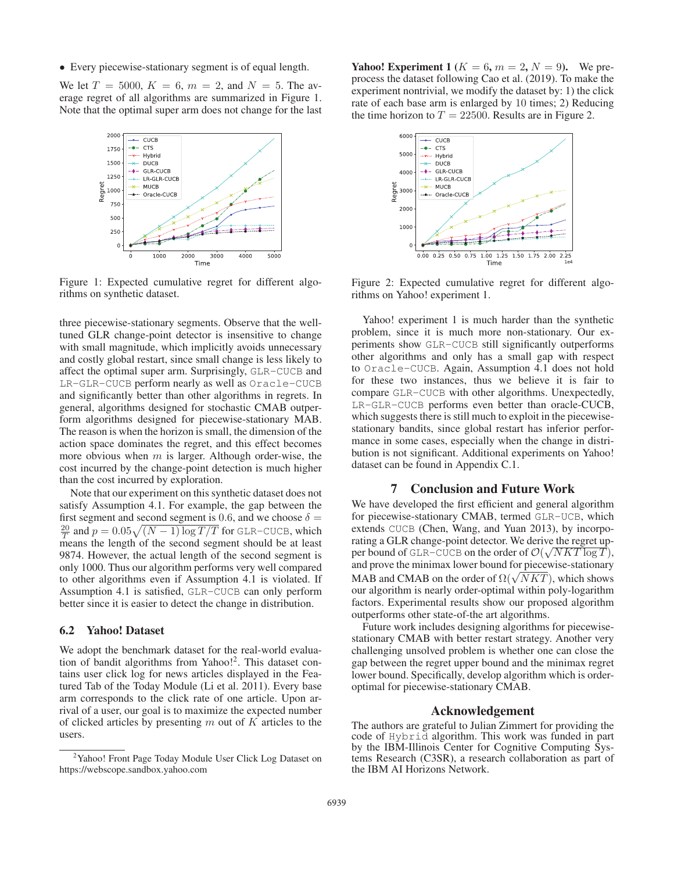• Every piecewise-stationary segment is of equal length.

We let  $T = 5000$ ,  $K = 6$ ,  $m = 2$ , and  $N = 5$ . The average regret of all algorithms are summarized in Figure 1. Note that the optimal super arm does not change for the last



Figure 1: Expected cumulative regret for different algorithms on synthetic dataset.

three piecewise-stationary segments. Observe that the welltuned GLR change-point detector is insensitive to change with small magnitude, which implicitly avoids unnecessary and costly global restart, since small change is less likely to affect the optimal super arm. Surprisingly, GLR-CUCB and LR-GLR-CUCB perform nearly as well as Oracle-CUCB and significantly better than other algorithms in regrets. In general, algorithms designed for stochastic CMAB outperform algorithms designed for piecewise-stationary MAB. The reason is when the horizon is small, the dimension of the action space dominates the regret, and this effect becomes more obvious when  $m$  is larger. Although order-wise, the cost incurred by the change-point detection is much higher than the cost incurred by exploration.

Note that our experiment on this synthetic dataset does not satisfy Assumption 4.1. For example, the gap between the first segment and second segment is 0.6, and we choose  $\delta = \frac{20}{T}$  and  $p = 0.05\sqrt{(N-1)\log T/T}$  for GLR-CUCB, which means the length of the second segment should be at least means the length of the second segment should be at least 9874. However, the actual length of the second segment is only 1000. Thus our algorithm performs very well compared to other algorithms even if Assumption 4.1 is violated. If Assumption 4.1 is satisfied, GLR-CUCB can only perform better since it is easier to detect the change in distribution.

#### 6.2 Yahoo! Dataset

We adopt the benchmark dataset for the real-world evaluation of bandit algorithms from Yahoo!2. This dataset contains user click log for news articles displayed in the Featured Tab of the Today Module (Li et al. 2011). Every base arm corresponds to the click rate of one article. Upon arrival of a user, our goal is to maximize the expected number of clicked articles by presenting  $m$  out of  $K$  articles to the users.

**Yahoo! Experiment 1** ( $K = 6$ ,  $m = 2$ ,  $N = 9$ ). We preprocess the dataset following Cao et al. (2019). To make the experiment nontrivial, we modify the dataset by: 1) the click rate of each base arm is enlarged by 10 times; 2) Reducing the time horizon to  $T = 22500$ . Results are in Figure 2.



Figure 2: Expected cumulative regret for different algorithms on Yahoo! experiment 1.

Yahoo! experiment 1 is much harder than the synthetic problem, since it is much more non-stationary. Our experiments show GLR-CUCB still significantly outperforms other algorithms and only has a small gap with respect to Oracle-CUCB. Again, Assumption 4.1 does not hold for these two instances, thus we believe it is fair to compare GLR-CUCB with other algorithms. Unexpectedly, LR-GLR-CUCB performs even better than oracle-CUCB, which suggests there is still much to exploit in the piecewisestationary bandits, since global restart has inferior performance in some cases, especially when the change in distribution is not significant. Additional experiments on Yahoo! dataset can be found in Appendix C.1.

#### 7 Conclusion and Future Work

We have developed the first efficient and general algorithm for piecewise-stationary CMAB, termed GLR-UCB, which extends CUCB (Chen, Wang, and Yuan 2013), by incorporating a GLR change-point detector. We derive the regret uprating a GLK change-point detector. We derive the regret up-<br>per bound of GLR-CUCB on the order of  $\mathcal{O}(\sqrt{NKT\log T})$ ,<br>and prove the minimax lower bound for piecewise-stationary and prove the minimax lower bound for piecewise-stationary and prove the minimax lower bound for piecewise-stationary<br>MAB and CMAB on the order of  $\Omega(\sqrt{NKT})$ , which shows<br>our algorithm is nearly order-optimal within poly-logarithm our algorithm is nearly order-optimal within poly-logarithm factors. Experimental results show our proposed algorithm outperforms other state-of-the art algorithms.

Future work includes designing algorithms for piecewisestationary CMAB with better restart strategy. Another very challenging unsolved problem is whether one can close the gap between the regret upper bound and the minimax regret lower bound. Specifically, develop algorithm which is orderoptimal for piecewise-stationary CMAB.

#### Acknowledgement

The authors are grateful to Julian Zimmert for providing the code of Hybrid algorithm. This work was funded in part by the IBM-Illinois Center for Cognitive Computing Systems Research (C3SR), a research collaboration as part of the IBM AI Horizons Network.

<sup>&</sup>lt;sup>2</sup> Yahoo! Front Page Today Module User Click Log Dataset on https://webscope.sandbox.yahoo.com